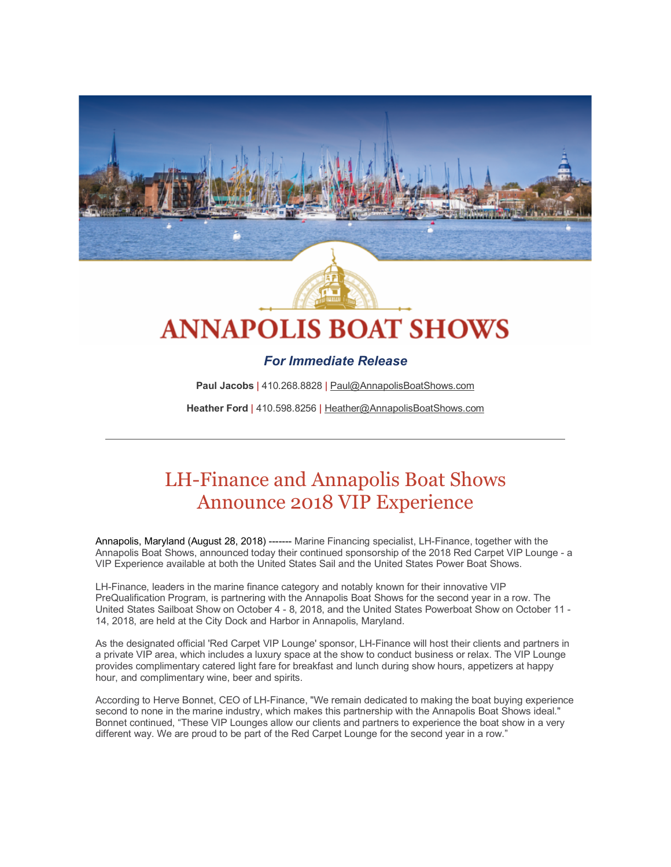

# **ANNAPOLIS BOAT SHOWS**

### *For Immediate Release*

Paul Jacobs | 410.268.8828 | Paul@AnnapolisBoatShows.com

**Heather Ford** | 410.598.8256 | Heather@AnnapolisBoatShows.com

## LH-Finance and Annapolis Boat Shows Announce 2018 VIP Experience

Annapolis, Maryland (August 28, 2018) ------- Marine Financing specialist, LH-Finance, together with the Annapolis Boat Shows, announced today their continued sponsorship of the 2018 Red Carpet VIP Lounge - a VIP Experience available at both the United States Sail and the United States Power Boat Shows.

LH-Finance, leaders in the marine finance category and notably known for their innovative VIP PreQualification Program, is partnering with the Annapolis Boat Shows for the second year in a row. The United States Sailboat Show on October 4 - 8, 2018, and the United States Powerboat Show on October 11 - 14, 2018, are held at the City Dock and Harbor in Annapolis, Maryland.

As the designated official 'Red Carpet VIP Lounge' sponsor, LH-Finance will host their clients and partners in a private VIP area, which includes a luxury space at the show to conduct business or relax. The VIP Lounge provides complimentary catered light fare for breakfast and lunch during show hours, appetizers at happy hour, and complimentary wine, beer and spirits.

According to Herve Bonnet, CEO of LH-Finance, "We remain dedicated to making the boat buying experience second to none in the marine industry, which makes this partnership with the Annapolis Boat Shows ideal." Bonnet continued, "These VIP Lounges allow our clients and partners to experience the boat show in a very different way. We are proud to be part of the Red Carpet Lounge for the second year in a row."